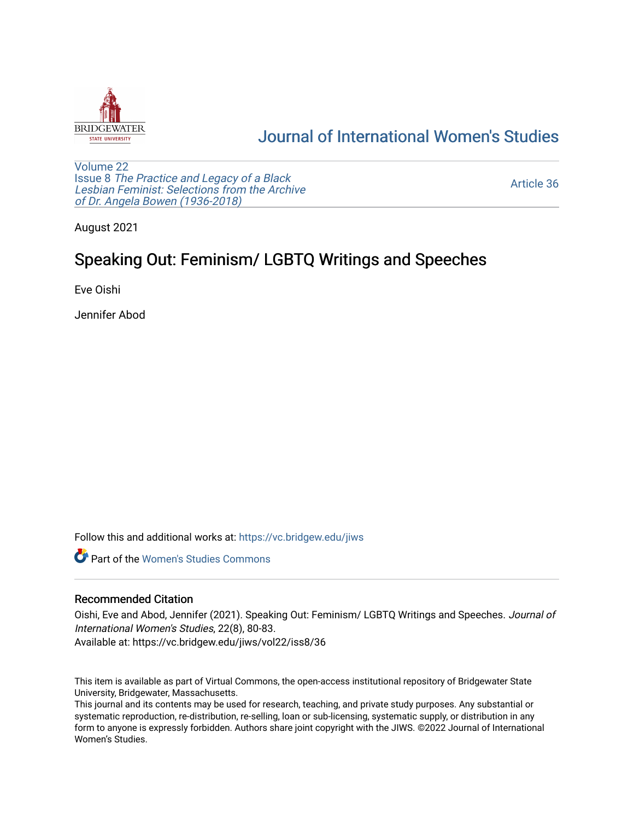

## [Journal of International Women's Studies](https://vc.bridgew.edu/jiws)

[Volume 22](https://vc.bridgew.edu/jiws/vol22) Issue 8 [The Practice and Legacy of a Black](https://vc.bridgew.edu/jiws/vol22/iss8)  [Lesbian Feminist: Selections from the Archive](https://vc.bridgew.edu/jiws/vol22/iss8)  [of Dr. Angela Bowen \(1936-2018\)](https://vc.bridgew.edu/jiws/vol22/iss8)

[Article 36](https://vc.bridgew.edu/jiws/vol22/iss8/36) 

August 2021

# Speaking Out: Feminism/ LGBTQ Writings and Speeches

Eve Oishi

Jennifer Abod

Follow this and additional works at: [https://vc.bridgew.edu/jiws](https://vc.bridgew.edu/jiws?utm_source=vc.bridgew.edu%2Fjiws%2Fvol22%2Fiss8%2F36&utm_medium=PDF&utm_campaign=PDFCoverPages)

**C** Part of the Women's Studies Commons

### Recommended Citation

Oishi, Eve and Abod, Jennifer (2021). Speaking Out: Feminism/ LGBTQ Writings and Speeches. Journal of International Women's Studies, 22(8), 80-83.

Available at: https://vc.bridgew.edu/jiws/vol22/iss8/36

This item is available as part of Virtual Commons, the open-access institutional repository of Bridgewater State University, Bridgewater, Massachusetts.

This journal and its contents may be used for research, teaching, and private study purposes. Any substantial or systematic reproduction, re-distribution, re-selling, loan or sub-licensing, systematic supply, or distribution in any form to anyone is expressly forbidden. Authors share joint copyright with the JIWS. ©2022 Journal of International Women's Studies.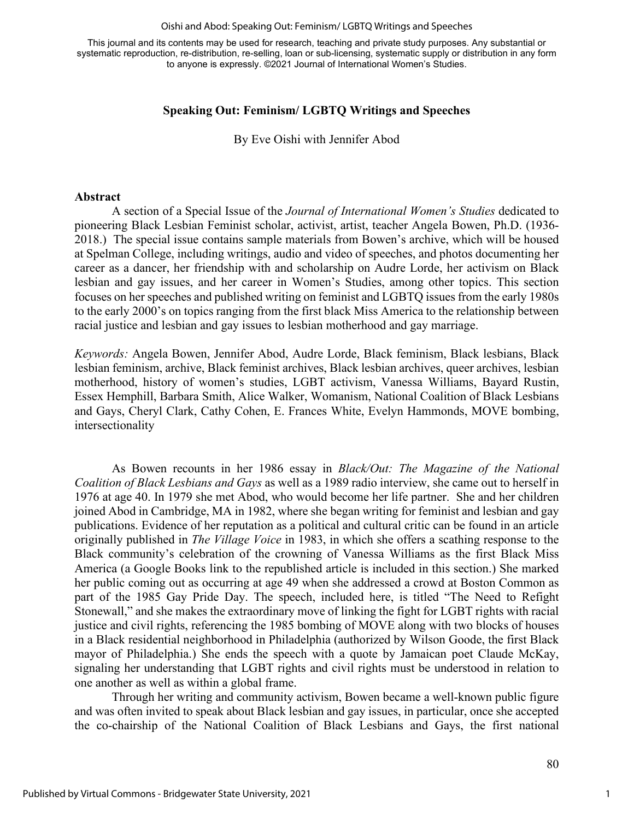#### Oishi and Abod: Speaking Out: Feminism/ LGBTQ Writings and Speeches

This journal and its contents may be used for research, teaching and private study purposes. Any substantial or systematic reproduction, re-distribution, re-selling, loan or sub-licensing, systematic supply or distribution in any form to anyone is expressly. ©2021 Journal of International Women's Studies.

## **Speaking Out: Feminism/ LGBTQ Writings and Speeches**

By Eve Oishi with Jennifer Abod

### **Abstract**

A section of a Special Issue of the *Journal of International Women's Studies* dedicated to pioneering Black Lesbian Feminist scholar, activist, artist, teacher Angela Bowen, Ph.D. (1936- 2018.) The special issue contains sample materials from Bowen's archive, which will be housed at Spelman College, including writings, audio and video of speeches, and photos documenting her career as a dancer, her friendship with and scholarship on Audre Lorde, her activism on Black lesbian and gay issues, and her career in Women's Studies, among other topics. This section focuses on her speeches and published writing on feminist and LGBTQ issues from the early 1980s to the early 2000's on topics ranging from the first black Miss America to the relationship between racial justice and lesbian and gay issues to lesbian motherhood and gay marriage.

*Keywords:* Angela Bowen, Jennifer Abod, Audre Lorde, Black feminism, Black lesbians, Black lesbian feminism, archive, Black feminist archives, Black lesbian archives, queer archives, lesbian motherhood, history of women's studies, LGBT activism, Vanessa Williams, Bayard Rustin, Essex Hemphill, Barbara Smith, Alice Walker, Womanism, National Coalition of Black Lesbians and Gays, Cheryl Clark, Cathy Cohen, E. Frances White, Evelyn Hammonds, MOVE bombing, intersectionality

As Bowen recounts in her 1986 essay in *Black/Out: The Magazine of the National Coalition of Black Lesbians and Gays* as well as a 1989 radio interview, she came out to herself in 1976 at age 40. In 1979 she met Abod, who would become her life partner. She and her children joined Abod in Cambridge, MA in 1982, where she began writing for feminist and lesbian and gay publications. Evidence of her reputation as a political and cultural critic can be found in an article originally published in *The Village Voice* in 1983, in which she offers a scathing response to the Black community's celebration of the crowning of Vanessa Williams as the first Black Miss America (a Google Books link to the republished article is included in this section.) She marked her public coming out as occurring at age 49 when she addressed a crowd at Boston Common as part of the 1985 Gay Pride Day. The speech, included here, is titled "The Need to Refight Stonewall," and she makes the extraordinary move of linking the fight for LGBT rights with racial justice and civil rights, referencing the 1985 bombing of MOVE along with two blocks of houses in a Black residential neighborhood in Philadelphia (authorized by Wilson Goode, the first Black mayor of Philadelphia.) She ends the speech with a quote by Jamaican poet Claude McKay, signaling her understanding that LGBT rights and civil rights must be understood in relation to one another as well as within a global frame.

Through her writing and community activism, Bowen became a well-known public figure and was often invited to speak about Black lesbian and gay issues, in particular, once she accepted the co-chairship of the National Coalition of Black Lesbians and Gays, the first national

1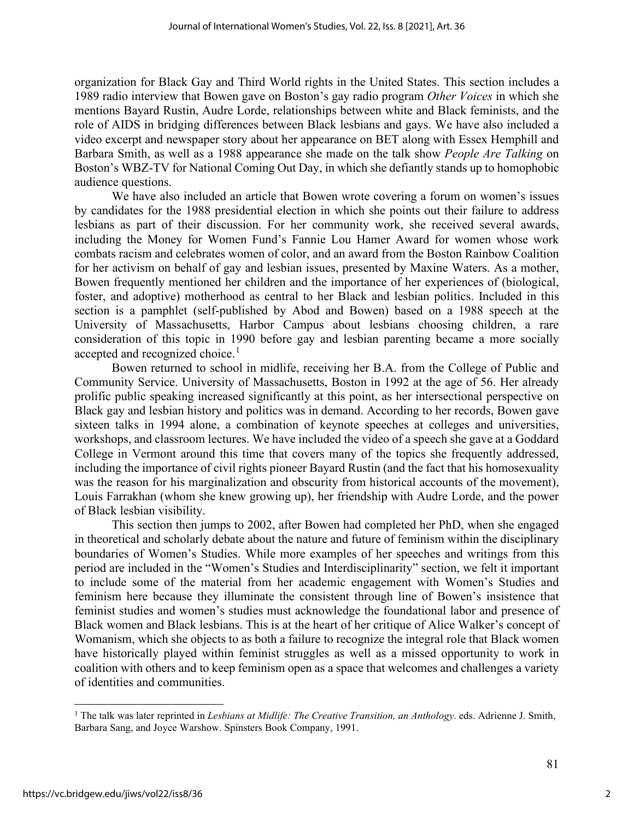organization for Black Gay and Third World rights in the United States. This section includes a 1989 radio interview that Bowen gave on Boston's gay radio program *Other Voices* in which she mentions Bayard Rustin, Audre Lorde, relationships between white and Black feminists, and the role of AIDS in bridging differences between Black lesbians and gays. We have also included a video excerpt and newspaper story about her appearance on BET along with Essex Hemphill and Barbara Smith, as well as a 1988 appearance she made on the talk show *People Are Talking* on Boston's WBZ-TV for National Coming Out Day, in which she defiantly stands up to homophobic audience questions.

We have also included an article that Bowen wrote covering a forum on women's issues by candidates for the 1988 presidential election in which she points out their failure to address lesbians as part of their discussion. For her community work, she received several awards, including the Money for Women Fund's Fannie Lou Hamer Award for women whose work combats racism and celebrates women of color, and an award from the Boston Rainbow Coalition for her activism on behalf of gay and lesbian issues, presented by Maxine Waters. As a mother, Bowen frequently mentioned her children and the importance of her experiences of (biological, foster, and adoptive) motherhood as central to her Black and lesbian politics. Included in this section is a pamphlet (self-published by Abod and Bowen) based on a 1988 speech at the University of Massachusetts, Harbor Campus about lesbians choosing children, a rare consideration of this topic in 1990 before gay and lesbian parenting became a more socially accepted and recognized choice.<sup>[1](#page-2-0)</sup>

Bowen returned to school in midlife, receiving her B.A. from the College of Public and Community Service. University of Massachusetts, Boston in 1992 at the age of 56. Her already prolific public speaking increased significantly at this point, as her intersectional perspective on Black gay and lesbian history and politics was in demand. According to her records, Bowen gave sixteen talks in 1994 alone, a combination of keynote speeches at colleges and universities, workshops, and classroom lectures. We have included the video of a speech she gave at a Goddard College in Vermont around this time that covers many of the topics she frequently addressed, including the importance of civil rights pioneer Bayard Rustin (and the fact that his homosexuality was the reason for his marginalization and obscurity from historical accounts of the movement), Louis Farrakhan (whom she knew growing up), her friendship with Audre Lorde, and the power of Black lesbian visibility.

This section then jumps to 2002, after Bowen had completed her PhD, when she engaged in theoretical and scholarly debate about the nature and future of feminism within the disciplinary boundaries of Women's Studies. While more examples of her speeches and writings from this period are included in the "Women's Studies and Interdisciplinarity" section, we felt it important to include some of the material from her academic engagement with Women's Studies and feminism here because they illuminate the consistent through line of Bowen's insistence that feminist studies and women's studies must acknowledge the foundational labor and presence of Black women and Black lesbians. This is at the heart of her critique of Alice Walker's concept of Womanism, which she objects to as both a failure to recognize the integral role that Black women have historically played within feminist struggles as well as a missed opportunity to work in coalition with others and to keep feminism open as a space that welcomes and challenges a variety of identities and communities.

2

<span id="page-2-0"></span><sup>1</sup> The talk was later reprinted in *Lesbians at Midlife: The Creative Transition, an Anthology*. eds. Adrienne J. Smith, Barbara Sang, and Joyce Warshow. Spinsters Book Company, 1991.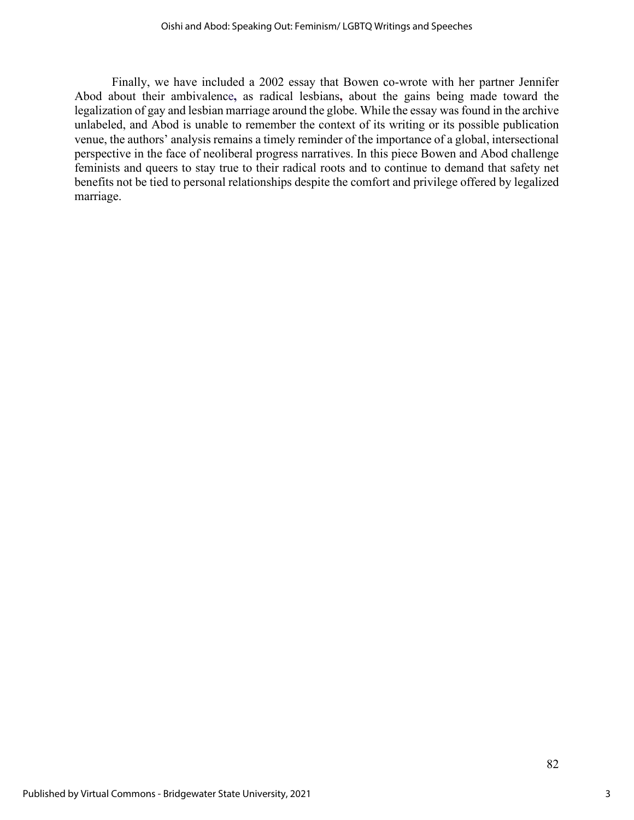Finally, we have included a 2002 essay that Bowen co-wrote with her partner Jennifer Abod about their ambivalence**,** as radical lesbians**,** about the gains being made toward the legalization of gay and lesbian marriage around the globe. While the essay was found in the archive unlabeled, and Abod is unable to remember the context of its writing or its possible publication venue, the authors' analysis remains a timely reminder of the importance of a global, intersectional perspective in the face of neoliberal progress narratives. In this piece Bowen and Abod challenge feminists and queers to stay true to their radical roots and to continue to demand that safety net benefits not be tied to personal relationships despite the comfort and privilege offered by legalized marriage.